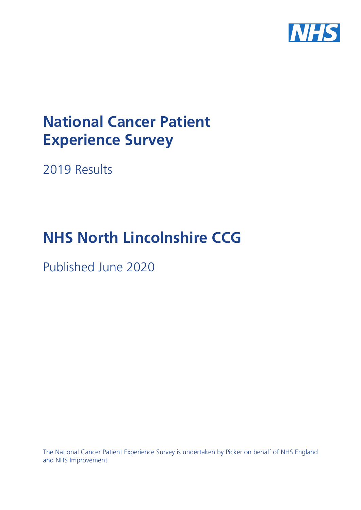

# **National Cancer Patient Experience Survey**

2019 Results

# **NHS North Lincolnshire CCG**

Published June 2020

The National Cancer Patient Experience Survey is undertaken by Picker on behalf of NHS England and NHS Improvement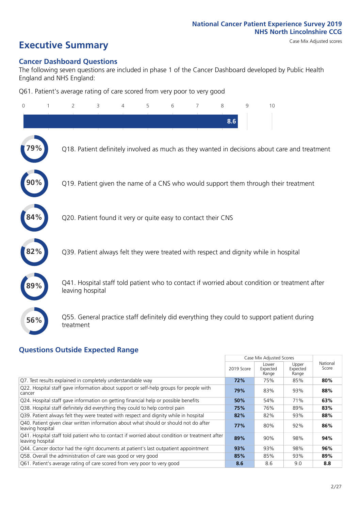# **Executive Summary** Case Mix Adjusted scores

#### **Cancer Dashboard Questions**

The following seven questions are included in phase 1 of the Cancer Dashboard developed by Public Health England and NHS England:

Q61. Patient's average rating of care scored from very poor to very good

| $\Omega$ | $\overline{2}$                                                | 3 | 4 | 5 | 6 | 7 | 8   | 9 | 10                                                                                            |  |
|----------|---------------------------------------------------------------|---|---|---|---|---|-----|---|-----------------------------------------------------------------------------------------------|--|
|          |                                                               |   |   |   |   |   | 8.6 |   |                                                                                               |  |
|          |                                                               |   |   |   |   |   |     |   | Q18. Patient definitely involved as much as they wanted in decisions about care and treatment |  |
|          |                                                               |   |   |   |   |   |     |   | Q19. Patient given the name of a CNS who would support them through their treatment           |  |
| 84%      | Q20. Patient found it very or quite easy to contact their CNS |   |   |   |   |   |     |   |                                                                                               |  |
| 82%      |                                                               |   |   |   |   |   |     |   | Q39. Patient always felt they were treated with respect and dignity while in hospital         |  |
|          | leaving hospital                                              |   |   |   |   |   |     |   | Q41. Hospital staff told patient who to contact if worried about condition or treatment after |  |
| 56%      | treatment                                                     |   |   |   |   |   |     |   | Q55. General practice staff definitely did everything they could to support patient during    |  |

### **Questions Outside Expected Range**

|                                                                                                                   |            | Case Mix Adjusted Scores   |                            |                   |
|-------------------------------------------------------------------------------------------------------------------|------------|----------------------------|----------------------------|-------------------|
|                                                                                                                   | 2019 Score | Lower<br>Expected<br>Range | Upper<br>Expected<br>Range | National<br>Score |
| Q7. Test results explained in completely understandable way                                                       | 72%        | 75%                        | 85%                        | 80%               |
| Q22. Hospital staff gave information about support or self-help groups for people with<br>cancer                  | 79%        | 83%                        | 93%                        | 88%               |
| Q24. Hospital staff gave information on getting financial help or possible benefits                               | 50%        | 54%                        | 71%                        | 63%               |
| Q38. Hospital staff definitely did everything they could to help control pain                                     | 75%        | 76%                        | 89%                        | 83%               |
| Q39. Patient always felt they were treated with respect and dignity while in hospital                             | 82%        | 82%                        | 93%                        | 88%               |
| Q40. Patient given clear written information about what should or should not do after<br>leaving hospital         | 77%        | 80%                        | 92%                        | 86%               |
| Q41. Hospital staff told patient who to contact if worried about condition or treatment after<br>leaving hospital | 89%        | 90%                        | 98%                        | 94%               |
| Q44. Cancer doctor had the right documents at patient's last outpatient appointment                               | 93%        | 93%                        | 98%                        | 96%               |
| Q58. Overall the administration of care was good or very good                                                     | 85%        | 85%                        | 93%                        | 89%               |
| Q61. Patient's average rating of care scored from very poor to very good                                          | 8.6        | 8.6                        | 9.0                        | 8.8               |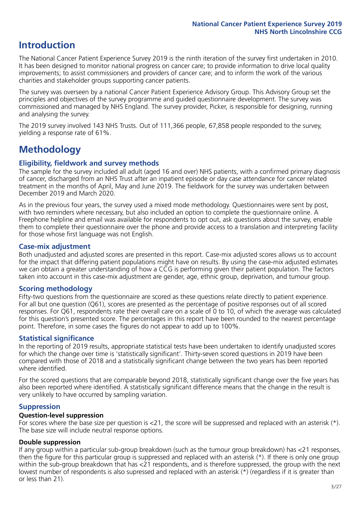## **Introduction**

The National Cancer Patient Experience Survey 2019 is the ninth iteration of the survey first undertaken in 2010. It has been designed to monitor national progress on cancer care; to provide information to drive local quality improvements; to assist commissioners and providers of cancer care; and to inform the work of the various charities and stakeholder groups supporting cancer patients.

The survey was overseen by a national Cancer Patient Experience Advisory Group. This Advisory Group set the principles and objectives of the survey programme and guided questionnaire development. The survey was commissioned and managed by NHS England. The survey provider, Picker, is responsible for designing, running and analysing the survey.

The 2019 survey involved 143 NHS Trusts. Out of 111,366 people, 67,858 people responded to the survey, yielding a response rate of 61%.

# **Methodology**

#### **Eligibility, fieldwork and survey methods**

The sample for the survey included all adult (aged 16 and over) NHS patients, with a confirmed primary diagnosis of cancer, discharged from an NHS Trust after an inpatient episode or day case attendance for cancer related treatment in the months of April, May and June 2019. The fieldwork for the survey was undertaken between December 2019 and March 2020.

As in the previous four years, the survey used a mixed mode methodology. Questionnaires were sent by post, with two reminders where necessary, but also included an option to complete the questionnaire online. A Freephone helpline and email was available for respondents to opt out, ask questions about the survey, enable them to complete their questionnaire over the phone and provide access to a translation and interpreting facility for those whose first language was not English.

#### **Case-mix adjustment**

Both unadjusted and adjusted scores are presented in this report. Case-mix adjusted scores allows us to account for the impact that differing patient populations might have on results. By using the case-mix adjusted estimates we can obtain a greater understanding of how a CCG is performing given their patient population. The factors taken into account in this case-mix adjustment are gender, age, ethnic group, deprivation, and tumour group.

#### **Scoring methodology**

Fifty-two questions from the questionnaire are scored as these questions relate directly to patient experience. For all but one question (Q61), scores are presented as the percentage of positive responses out of all scored responses. For Q61, respondents rate their overall care on a scale of 0 to 10, of which the average was calculated for this question's presented score. The percentages in this report have been rounded to the nearest percentage point. Therefore, in some cases the figures do not appear to add up to 100%.

#### **Statistical significance**

In the reporting of 2019 results, appropriate statistical tests have been undertaken to identify unadjusted scores for which the change over time is 'statistically significant'. Thirty-seven scored questions in 2019 have been compared with those of 2018 and a statistically significant change between the two years has been reported where identified.

For the scored questions that are comparable beyond 2018, statistically significant change over the five years has also been reported where identified. A statistically significant difference means that the change in the result is very unlikely to have occurred by sampling variation.

#### **Suppression**

#### **Question-level suppression**

For scores where the base size per question is  $<$ 21, the score will be suppressed and replaced with an asterisk (\*). The base size will include neutral response options.

#### **Double suppression**

If any group within a particular sub-group breakdown (such as the tumour group breakdown) has <21 responses, then the figure for this particular group is suppressed and replaced with an asterisk (\*). If there is only one group within the sub-group breakdown that has <21 respondents, and is therefore suppressed, the group with the next lowest number of respondents is also supressed and replaced with an asterisk (\*) (regardless if it is greater than or less than 21).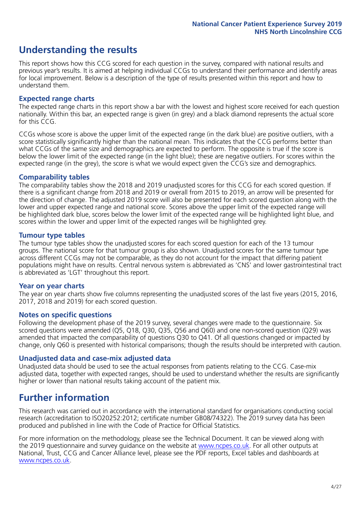# **Understanding the results**

This report shows how this CCG scored for each question in the survey, compared with national results and previous year's results. It is aimed at helping individual CCGs to understand their performance and identify areas for local improvement. Below is a description of the type of results presented within this report and how to understand them.

#### **Expected range charts**

The expected range charts in this report show a bar with the lowest and highest score received for each question nationally. Within this bar, an expected range is given (in grey) and a black diamond represents the actual score for this CCG.

CCGs whose score is above the upper limit of the expected range (in the dark blue) are positive outliers, with a score statistically significantly higher than the national mean. This indicates that the CCG performs better than what CCGs of the same size and demographics are expected to perform. The opposite is true if the score is below the lower limit of the expected range (in the light blue); these are negative outliers. For scores within the expected range (in the grey), the score is what we would expect given the CCG's size and demographics.

#### **Comparability tables**

The comparability tables show the 2018 and 2019 unadjusted scores for this CCG for each scored question. If there is a significant change from 2018 and 2019 or overall from 2015 to 2019, an arrow will be presented for the direction of change. The adjusted 2019 score will also be presented for each scored question along with the lower and upper expected range and national score. Scores above the upper limit of the expected range will be highlighted dark blue, scores below the lower limit of the expected range will be highlighted light blue, and scores within the lower and upper limit of the expected ranges will be highlighted grey.

#### **Tumour type tables**

The tumour type tables show the unadjusted scores for each scored question for each of the 13 tumour groups. The national score for that tumour group is also shown. Unadjusted scores for the same tumour type across different CCGs may not be comparable, as they do not account for the impact that differing patient populations might have on results. Central nervous system is abbreviated as 'CNS' and lower gastrointestinal tract is abbreviated as 'LGT' throughout this report.

#### **Year on year charts**

The year on year charts show five columns representing the unadjusted scores of the last five years (2015, 2016, 2017, 2018 and 2019) for each scored question.

#### **Notes on specific questions**

Following the development phase of the 2019 survey, several changes were made to the questionnaire. Six scored questions were amended (Q5, Q18, Q30, Q35, Q56 and Q60) and one non-scored question (Q29) was amended that impacted the comparability of questions Q30 to Q41. Of all questions changed or impacted by change, only Q60 is presented with historical comparisons; though the results should be interpreted with caution.

#### **Unadjusted data and case-mix adjusted data**

Unadjusted data should be used to see the actual responses from patients relating to the CCG. Case-mix adjusted data, together with expected ranges, should be used to understand whether the results are significantly higher or lower than national results taking account of the patient mix.

### **Further information**

This research was carried out in accordance with the international standard for organisations conducting social research (accreditation to ISO20252:2012; certificate number GB08/74322). The 2019 survey data has been produced and published in line with the Code of Practice for Official Statistics.

For more information on the methodology, please see the Technical Document. It can be viewed along with the 2019 questionnaire and survey quidance on the website at [www.ncpes.co.uk](https://www.ncpes.co.uk/supporting-documents). For all other outputs at National, Trust, CCG and Cancer Alliance level, please see the PDF reports, Excel tables and dashboards at [www.ncpes.co.uk.](https://www.ncpes.co.uk/current-results)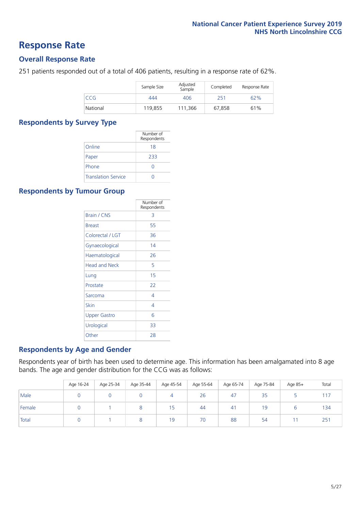### **Response Rate**

#### **Overall Response Rate**

251 patients responded out of a total of 406 patients, resulting in a response rate of 62%.

|          | Sample Size | Adjusted<br>Sample | Completed | Response Rate |
|----------|-------------|--------------------|-----------|---------------|
| CCG      | 444         | 406                | 251       | 62%           |
| National | 119,855     | 111.366            | 67,858    | 61%           |

#### **Respondents by Survey Type**

|                            | Number of<br>Respondents |
|----------------------------|--------------------------|
| Online                     | 18                       |
| Paper                      | 233                      |
| Phone                      |                          |
| <b>Translation Service</b> |                          |

#### **Respondents by Tumour Group**

|                      | Number of<br>Respondents |
|----------------------|--------------------------|
| <b>Brain / CNS</b>   | 3                        |
| <b>Breast</b>        | 55                       |
| Colorectal / LGT     | 36                       |
| Gynaecological       | 14                       |
| Haematological       | 26                       |
| <b>Head and Neck</b> | 5                        |
| Lung                 | 15                       |
| Prostate             | 22                       |
| Sarcoma              | 4                        |
| Skin                 | 4                        |
| <b>Upper Gastro</b>  | 6                        |
| Urological           | 33                       |
| Other                | 28                       |

#### **Respondents by Age and Gender**

Respondents year of birth has been used to determine age. This information has been amalgamated into 8 age bands. The age and gender distribution for the CCG was as follows:

|        | Age 16-24 | Age 25-34 | Age 35-44 | Age 45-54 | Age 55-64 | Age 65-74 | Age 75-84 | Age 85+ | Total |
|--------|-----------|-----------|-----------|-----------|-----------|-----------|-----------|---------|-------|
| Male   |           |           |           | 4         | 26        | 47        | 35        |         | 17    |
| Female |           |           |           | 15        | 44        | 41        | 19        |         | 134   |
| Total  |           |           |           | 19        | 70        | 88        | 54        |         | 251   |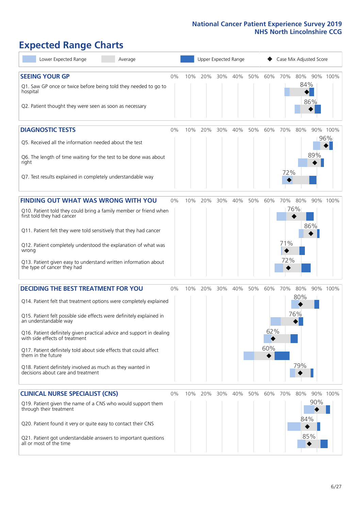# **Expected Range Charts**

| Lower Expected Range<br>Average                                                                                                                                                                                                                                                                                                                                                                                                                                                                                             |       |     |         | Upper Expected Range |     |     |                   |                   | Case Mix Adjusted Score    |     |                 |
|-----------------------------------------------------------------------------------------------------------------------------------------------------------------------------------------------------------------------------------------------------------------------------------------------------------------------------------------------------------------------------------------------------------------------------------------------------------------------------------------------------------------------------|-------|-----|---------|----------------------|-----|-----|-------------------|-------------------|----------------------------|-----|-----------------|
| <b>SEEING YOUR GP</b><br>Q1. Saw GP once or twice before being told they needed to go to<br>hospital<br>Q2. Patient thought they were seen as soon as necessary                                                                                                                                                                                                                                                                                                                                                             | 0%    | 10% | 20%     | 30%                  | 40% | 50% | 60%               | 70%               | 80% 90% 100%<br>84%<br>86% |     |                 |
| <b>DIAGNOSTIC TESTS</b><br>Q5. Received all the information needed about the test<br>Q6. The length of time waiting for the test to be done was about<br>right<br>Q7. Test results explained in completely understandable way                                                                                                                                                                                                                                                                                               | $0\%$ | 10% | 20%     | 30%                  | 40% | 50% | 60%               | 70%<br>72%        | 80%                        | 89% | 90% 100%<br>96% |
| <b>FINDING OUT WHAT WAS WRONG WITH YOU</b><br>Q10. Patient told they could bring a family member or friend when<br>first told they had cancer<br>Q11. Patient felt they were told sensitively that they had cancer<br>Q12. Patient completely understood the explanation of what was<br>wrong<br>Q13. Patient given easy to understand written information about<br>the type of cancer they had                                                                                                                             | 0%    | 10% | 20%     | 30%                  | 40% | 50% | 60%               | 70%<br>71%<br>72% | 80%<br>76%<br>86%          |     | 90% 100%        |
| <b>DECIDING THE BEST TREATMENT FOR YOU</b><br>Q14. Patient felt that treatment options were completely explained<br>Q15. Patient felt possible side effects were definitely explained in<br>an understandable way<br>Q16. Patient definitely given practical advice and support in dealing<br>with side effects of treatment<br>Q17. Patient definitely told about side effects that could affect<br>them in the future<br>Q18. Patient definitely involved as much as they wanted in<br>decisions about care and treatment | 0%    | 10% | 20%     | 30%                  | 40% | 50% | 60%<br>62%<br>60% | 70%               | 80%<br>80%<br>76%<br>79%   |     | 90% 100%        |
| <b>CLINICAL NURSE SPECIALIST (CNS)</b><br>Q19. Patient given the name of a CNS who would support them<br>through their treatment<br>Q20. Patient found it very or quite easy to contact their CNS<br>Q21. Patient got understandable answers to important questions<br>all or most of the time                                                                                                                                                                                                                              | 0%    |     | 10% 20% | 30%                  | 40% | 50% | 60%               | 70%               | 80%<br>84%<br>85%          | 90% | 90% 100%        |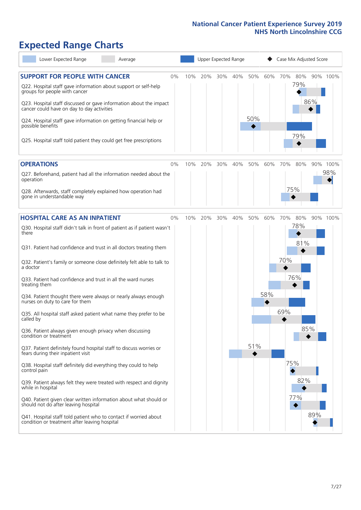# **Expected Range Charts**

| Lower Expected Range<br>Average                                                                                                                                                                                                                                                                                                                                                                                                                                                                                                                                                                                                                                                   |    |     |     |     | Upper Expected Range |            |     | Case Mix Adjusted Score |                          |     |          |
|-----------------------------------------------------------------------------------------------------------------------------------------------------------------------------------------------------------------------------------------------------------------------------------------------------------------------------------------------------------------------------------------------------------------------------------------------------------------------------------------------------------------------------------------------------------------------------------------------------------------------------------------------------------------------------------|----|-----|-----|-----|----------------------|------------|-----|-------------------------|--------------------------|-----|----------|
| <b>SUPPORT FOR PEOPLE WITH CANCER</b><br>Q22. Hospital staff gave information about support or self-help<br>groups for people with cancer<br>Q23. Hospital staff discussed or gave information about the impact<br>cancer could have on day to day activities<br>Q24. Hospital staff gave information on getting financial help or<br>possible benefits<br>Q25. Hospital staff told patient they could get free prescriptions                                                                                                                                                                                                                                                     | 0% | 10% | 20% | 30% | 40%                  | 50%<br>50% | 60% | 70%                     | 80%<br>79%<br>79%        | 86% | 90% 100% |
| <b>OPERATIONS</b>                                                                                                                                                                                                                                                                                                                                                                                                                                                                                                                                                                                                                                                                 | 0% | 10% | 20% | 30% | 40%                  | 50%        | 60% | 70%                     | 80%                      |     | 90% 100% |
| Q27. Beforehand, patient had all the information needed about the<br>operation<br>Q28. Afterwards, staff completely explained how operation had<br>gone in understandable way                                                                                                                                                                                                                                                                                                                                                                                                                                                                                                     |    |     |     |     |                      |            |     |                         | 75%                      |     | 98%      |
| <b>HOSPITAL CARE AS AN INPATIENT</b>                                                                                                                                                                                                                                                                                                                                                                                                                                                                                                                                                                                                                                              | 0% | 10% | 20% | 30% | 40%                  | 50%        | 60% | 70%                     | 80%                      |     | 90% 100% |
| Q30. Hospital staff didn't talk in front of patient as if patient wasn't<br>there<br>Q31. Patient had confidence and trust in all doctors treating them<br>Q32. Patient's family or someone close definitely felt able to talk to<br>a doctor<br>Q33. Patient had confidence and trust in all the ward nurses<br>treating them<br>Q34. Patient thought there were always or nearly always enough<br>nurses on duty to care for them<br>Q35. All hospital staff asked patient what name they prefer to be<br>called by<br>Q36. Patient always given enough privacy when discussing<br>condition or treatment<br>Q37. Patient definitely found hospital staff to discuss worries or |    |     |     |     |                      | 51%        | 58% | 70%<br>69%              | 78%<br>81%<br>76%<br>85% |     |          |
| fears during their inpatient visit<br>Q38. Hospital staff definitely did everything they could to help<br>control pain<br>Q39. Patient always felt they were treated with respect and dignity<br>while in hospital<br>Q40. Patient given clear written information about what should or<br>should not do after leaving hospital<br>Q41. Hospital staff told patient who to contact if worried about<br>condition or treatment after leaving hospital                                                                                                                                                                                                                              |    |     |     |     |                      |            |     | 75%                     | 82%<br>77%               | 89% |          |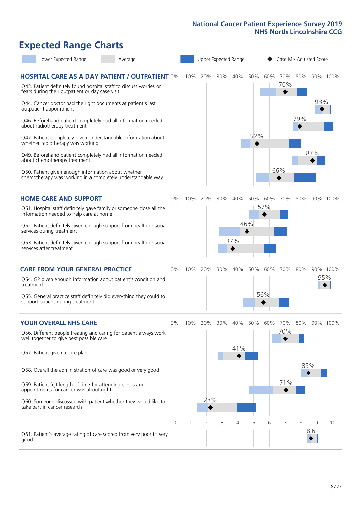# **Expected Range Charts**

| Lower Expected Range<br>Average                                                                                                                                                         |       |     | Upper Expected Range |     |     |     |     | Case Mix Adjusted Score |     |     |          |
|-----------------------------------------------------------------------------------------------------------------------------------------------------------------------------------------|-------|-----|----------------------|-----|-----|-----|-----|-------------------------|-----|-----|----------|
| <b>HOSPITAL CARE AS A DAY PATIENT / OUTPATIENT 0%</b><br>Q43. Patient definitely found hospital staff to discuss worries or<br>fears during their outpatient or day case visit          |       | 10% | 20%                  | 30% | 40% | 50% | 60% | 70%<br>70%              | 80% | 93% | 90% 100% |
| Q44. Cancer doctor had the right documents at patient's last<br>outpatient appointment<br>Q46. Beforehand patient completely had all information needed<br>about radiotherapy treatment |       |     |                      |     |     |     |     |                         | 79% |     |          |
| Q47. Patient completely given understandable information about<br>whether radiotherapy was working                                                                                      |       |     |                      |     |     | 52% |     |                         |     |     |          |
| Q49. Beforehand patient completely had all information needed<br>about chemotherapy treatment                                                                                           |       |     |                      |     |     |     |     |                         |     | 87% |          |
| Q50. Patient given enough information about whether<br>chemotherapy was working in a completely understandable way                                                                      |       |     |                      |     |     |     |     | 66%                     |     |     |          |
| <b>HOME CARE AND SUPPORT</b>                                                                                                                                                            | 0%    | 10% | 20%                  | 30% | 40% | 50% | 60% | 70%                     | 80% |     | 90% 100% |
| Q51. Hospital staff definitely gave family or someone close all the<br>information needed to help care at home                                                                          |       |     |                      |     |     |     | 57% |                         |     |     |          |
| Q52. Patient definitely given enough support from health or social<br>services during treatment                                                                                         |       |     |                      |     |     | 46% |     |                         |     |     |          |
| Q53. Patient definitely given enough support from health or social<br>services after treatment                                                                                          |       |     |                      |     | 37% |     |     |                         |     |     |          |
| <b>CARE FROM YOUR GENERAL PRACTICE</b>                                                                                                                                                  | $0\%$ | 10% | 20%                  | 30% | 40% | 50% | 60% | 70%                     | 80% |     | 90% 100% |
| Q54. GP given enough information about patient's condition and<br>treatment                                                                                                             |       |     |                      |     |     |     |     |                         |     |     | 95%      |
| Q55. General practice staff definitely did everything they could to<br>support patient during treatment                                                                                 |       |     |                      |     |     |     | 56% |                         |     |     |          |
| <b>YOUR OVERALL NHS CARE</b>                                                                                                                                                            | $0\%$ | 10% | 20%                  | 30% | 40% | 50% | 60% | 70%                     | 80% |     | 90% 100% |
| Q56. Different people treating and caring for patient always work<br>well together to give best possible care                                                                           |       |     |                      |     | 41% |     |     | 70%                     |     |     |          |
| Q57. Patient given a care plan                                                                                                                                                          |       |     |                      |     |     |     |     |                         | 85% |     |          |
| Q58. Overall the administration of care was good or very good                                                                                                                           |       |     |                      |     |     |     |     | 71%                     |     |     |          |
| Q59. Patient felt length of time for attending clinics and<br>appointments for cancer was about right                                                                                   |       |     |                      |     |     |     |     |                         |     |     |          |
| Q60. Someone discussed with patient whether they would like to<br>take part in cancer research                                                                                          |       |     | 23%                  |     |     |     |     |                         |     |     |          |
|                                                                                                                                                                                         | 0     |     | 2                    | 3   | 4   | 5   | 6   | 7                       | 8   | 9   | 10       |
| Q61. Patient's average rating of care scored from very poor to very<br>good                                                                                                             |       |     |                      |     |     |     |     |                         |     | 8.6 |          |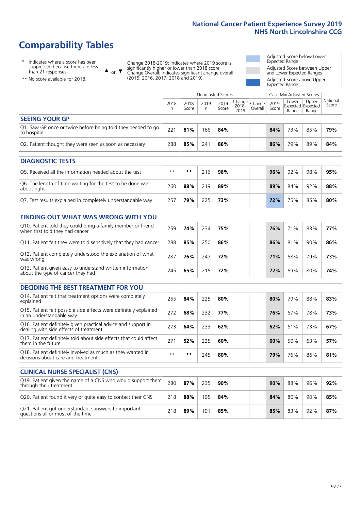# **Comparability Tables**

\* Indicates where a score has been suppressed because there are less than 21 responses.

\*\* No score available for 2018.

 $\triangle$  or  $\nabla$ 

Change 2018-2019: Indicates where 2019 score is significantly higher or lower than 2018 score Change Overall: Indicates significant change overall (2015, 2016, 2017, 2018 and 2019).

Adjusted Score below Lower Expected Range Adjusted Score between Upper and Lower Expected Ranges Adjusted Score above Upper Expected Range

| 2018<br>n | 2018<br>Score | 2019<br>n | 2019<br>Score | 2018-<br>2019 | Overall           | 2019<br>Score | Lower<br>Range                    | Upper<br>Range | National<br>Score                             |
|-----------|---------------|-----------|---------------|---------------|-------------------|---------------|-----------------------------------|----------------|-----------------------------------------------|
|           |               |           |               |               |                   |               |                                   |                |                                               |
| 221       | 81%           | 166       | 84%           |               |                   | 84%           | 73%                               | 85%            | 79%                                           |
| 288       | 85%           | 241       | 86%           |               |                   | 86%           | 79%                               | 89%            | 84%                                           |
|           |               |           |               |               |                   |               |                                   |                |                                               |
|           |               |           |               |               |                   |               |                                   |                |                                               |
|           |               |           |               |               | Unadjusted Scores |               | $\sqrt{(\text{Change})^2}$ Change |                | Case Mix Adjusted Scores<br>Expected Expected |

| O5. Received all the information needed about the test                    | $***$ | **  | 216 | 96% |  | 96% | 92% | 98% | 95% |
|---------------------------------------------------------------------------|-------|-----|-----|-----|--|-----|-----|-----|-----|
| Q6. The length of time waiting for the test to be done was<br>about right | 260   | 88% | 219 | 89% |  | 89% | 84% | 92% | 88% |
| Q7. Test results explained in completely understandable way               | 257   | 79% | 225 | 73% |  | 72% | 75% | 85% | 80% |

| <b>FINDING OUT WHAT WAS WRONG WITH YOU</b>                                                      |     |     |     |     |     |     |     |     |
|-------------------------------------------------------------------------------------------------|-----|-----|-----|-----|-----|-----|-----|-----|
| Q10. Patient told they could bring a family member or friend<br>when first told they had cancer | 259 | 74% | 234 | 75% | 76% | 71% | 83% | 77% |
| Q11. Patient felt they were told sensitively that they had cancer                               | 288 | 85% | 250 | 86% | 86% | 81% | 90% | 86% |
| Q12. Patient completely understood the explanation of what<br>was wrong                         | 287 | 76% | 247 | 72% | 71% | 68% | 79% | 73% |
| Q13. Patient given easy to understand written information<br>about the type of cancer they had  | 245 | 65% | 215 | 72% | 72% | 69% | 80% | 74% |

| <b>DECIDING THE BEST TREATMENT FOR YOU</b>                                                              |      |     |     |     |     |     |     |     |
|---------------------------------------------------------------------------------------------------------|------|-----|-----|-----|-----|-----|-----|-----|
| Q14. Patient felt that treatment options were completely<br>explained                                   | 255  | 84% | 225 | 80% | 80% | 79% | 88% | 83% |
| Q15. Patient felt possible side effects were definitely explained<br>in an understandable way           | 272  | 68% | 232 | 77% | 76% | 67% | 78% | 73% |
| Q16. Patient definitely given practical advice and support in<br>dealing with side effects of treatment | 273  | 64% | 233 | 62% | 62% | 61% | 73% | 67% |
| Q17. Patient definitely told about side effects that could affect<br>them in the future                 | 271  | 52% | 225 | 60% | 60% | 50% | 63% | 57% |
| Q18. Patient definitely involved as much as they wanted in<br>decisions about care and treatment        | $**$ | **  | 245 | 80% | 79% | 76% | 86% | 81% |

| <b>CLINICAL NURSE SPECIALIST (CNS)</b>                                                    |     |     |     |     |     |     |     |     |
|-------------------------------------------------------------------------------------------|-----|-----|-----|-----|-----|-----|-----|-----|
| Q19. Patient given the name of a CNS who would support them<br>through their treatment    | 280 | 87% | 235 | 90% | 90% | 88% | 96% | 92% |
| Q20. Patient found it very or quite easy to contact their CNS                             | 218 | 88% | 195 | 84% | 84% | 80% | 90% | 85% |
| Q21. Patient got understandable answers to important<br>questions all or most of the time | 218 | 89% | 191 | 85% | 85% | 83% | 92% | 87% |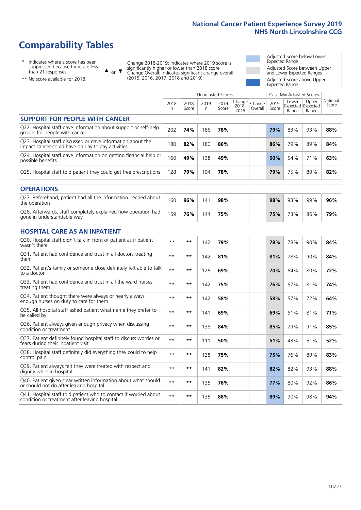# **Comparability Tables**

\* Indicates where a score has been suppressed because there are less than 21 responses.

\*\* No score available for 2018.

 $\triangle$  or  $\nabla$ 

Change 2018-2019: Indicates where 2019 score is significantly higher or lower than 2018 score Change Overall: Indicates significant change overall (2015, 2016, 2017, 2018 and 2019).

Adjusted Score below Lower Expected Range Adjusted Score between Upper and Lower Expected Ranges Adjusted Score above Upper Expected Range

|                                                                                                                   |              |               |            | <b>Unadjusted Scores</b> |                         |                   |               | Case Mix Adjusted Scores            |                |                   |
|-------------------------------------------------------------------------------------------------------------------|--------------|---------------|------------|--------------------------|-------------------------|-------------------|---------------|-------------------------------------|----------------|-------------------|
|                                                                                                                   | 2018<br>n    | 2018<br>Score | 2019<br>n. | 2019<br>Score            | Change<br>2018-<br>2019 | Change<br>Overall | 2019<br>Score | Lower<br>Expected Expected<br>Range | Upper<br>Range | National<br>Score |
| <b>SUPPORT FOR PEOPLE WITH CANCER</b>                                                                             |              |               |            |                          |                         |                   |               |                                     |                |                   |
| Q22. Hospital staff gave information about support or self-help<br>groups for people with cancer                  | 202          | 74%           | 186        | 78%                      |                         |                   | 79%           | 83%                                 | 93%            | 88%               |
| Q23. Hospital staff discussed or gave information about the<br>impact cancer could have on day to day activities  | 180          | 82%           | 180        | 86%                      |                         |                   | 86%           | 79%                                 | 89%            | 84%               |
| Q24. Hospital staff gave information on getting financial help or<br>possible benefits                            | 160          | 49%           | 138        | 49%                      |                         |                   | 50%           | 54%                                 | 71%            | 63%               |
| Q25. Hospital staff told patient they could get free prescriptions                                                | 128          | 79%           | 104        | 78%                      |                         |                   | 79%           | 75%                                 | 89%            | 82%               |
| <b>OPERATIONS</b>                                                                                                 |              |               |            |                          |                         |                   |               |                                     |                |                   |
| Q27. Beforehand, patient had all the information needed about<br>the operation                                    | 160          | 96%           | 141        | 98%                      |                         |                   | 98%           | 93%                                 | 99%            | 96%               |
| Q28. Afterwards, staff completely explained how operation had<br>gone in understandable way                       | 159          | 76%           | 144        | 75%                      |                         |                   | 75%           | 73%                                 | 86%            | 79%               |
| <b>HOSPITAL CARE AS AN INPATIENT</b>                                                                              |              |               |            |                          |                         |                   |               |                                     |                |                   |
| Q30. Hospital staff didn't talk in front of patient as if patient<br>wasn't there                                 | $\star\star$ | **            | 142        | 79%                      |                         |                   | 78%           | 78%                                 | 90%            | 84%               |
| Q31. Patient had confidence and trust in all doctors treating<br>them                                             | $\star\star$ | **            | 142        | 81%                      |                         |                   | 81%           | 78%                                 | 90%            | 84%               |
| Q32. Patient's family or someone close definitely felt able to talk<br>to a doctor                                | $* *$        | **            | 125        | 69%                      |                         |                   | 70%           | 64%                                 | 80%            | 72%               |
| O33. Patient had confidence and trust in all the ward nurses<br>treating them                                     | $* *$        | **            | 142        | 75%                      |                         |                   | 76%           | 67%                                 | 81%            | 74%               |
| Q34. Patient thought there were always or nearly always<br>enough nurses on duty to care for them                 | $\star\star$ | **            | 142        | 58%                      |                         |                   | 58%           | 57%                                 | 72%            | 64%               |
| Q35. All hospital staff asked patient what name they prefer to<br>be called by                                    | $\star\star$ | **            | 141        | 69%                      |                         |                   | 69%           | 61%                                 | 81%            | 71%               |
| Q36. Patient always given enough privacy when discussing<br>condition or treatment                                | $* *$        | **            | 138        | 84%                      |                         |                   | 85%           | 79%                                 | 91%            | 85%               |
| Q37. Patient definitely found hospital staff to discuss worries or<br>fears during their inpatient visit          | $* *$        | **            | 111        | 50%                      |                         |                   | 51%           | 43%                                 | 61%            | 52%               |
| Q38. Hospital staff definitely did everything they could to help<br>control pain                                  | $\star\star$ | **            | 128        | 75%                      |                         |                   | 75%           | 76%                                 | 89%            | 83%               |
| Q39. Patient always felt they were treated with respect and<br>dignity while in hospital                          | $\star\star$ | **            | 141        | 82%                      |                         |                   | 82%           | 82%                                 | 93%            | 88%               |
| Q40. Patient given clear written information about what should<br>or should not do after leaving hospital         | $**$         | **            | 135        | 76%                      |                         |                   | 77%           | 80%                                 | 92%            | 86%               |
| Q41. Hospital staff told patient who to contact if worried about<br>condition or treatment after leaving hospital | $**$         | **            | 135        | 88%                      |                         |                   | 89%           | 90%                                 | 98%            | 94%               |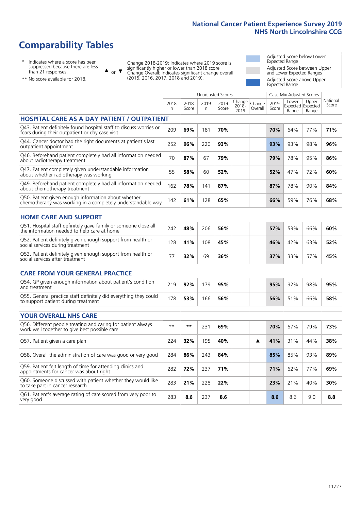# **Comparability Tables**

\* Indicates where a score has been suppressed because there are less than 21 responses.

\*\* No score available for 2018.

 $\triangle$  or  $\nabla$ 

Change 2018-2019: Indicates where 2019 score is significantly higher or lower than 2018 score Change Overall: Indicates significant change overall (2015, 2016, 2017, 2018 and 2019).

Adjusted Score below Lower Expected Range Adjusted Score between Upper and Lower Expected Ranges Adjusted Score above Upper Expected Range

|                                                                                                                       |           |               | <b>Unadjusted Scores</b> |               |                         |                   |               | Case Mix Adjusted Scores |                                     |                   |
|-----------------------------------------------------------------------------------------------------------------------|-----------|---------------|--------------------------|---------------|-------------------------|-------------------|---------------|--------------------------|-------------------------------------|-------------------|
|                                                                                                                       | 2018<br>n | 2018<br>Score | 2019<br>n                | 2019<br>Score | Change<br>2018-<br>2019 | Change<br>Overall | 2019<br>Score | Lower<br>Range           | Upper<br>Expected Expected<br>Range | National<br>Score |
| <b>HOSPITAL CARE AS A DAY PATIENT / OUTPATIENT</b>                                                                    |           |               |                          |               |                         |                   |               |                          |                                     |                   |
| Q43. Patient definitely found hospital staff to discuss worries or<br>fears during their outpatient or day case visit | 209       | 69%           | 181                      | 70%           |                         |                   | 70%           | 64%                      | 77%                                 | 71%               |
| Q44. Cancer doctor had the right documents at patient's last<br>outpatient appointment                                | 252       | 96%           | 220                      | 93%           |                         |                   | 93%           | 93%                      | 98%                                 | 96%               |
| Q46. Beforehand patient completely had all information needed<br>about radiotherapy treatment                         | 70        | 87%           | 67                       | 79%           |                         |                   | 79%           | 78%                      | 95%                                 | 86%               |
| Q47. Patient completely given understandable information<br>about whether radiotherapy was working                    | 55        | 58%           | 60                       | 52%           |                         |                   | 52%           | 47%                      | 72%                                 | 60%               |
| Q49. Beforehand patient completely had all information needed<br>about chemotherapy treatment                         | 162       | 78%           | 141                      | 87%           |                         |                   | 87%           | 78%                      | 90%                                 | 84%               |
| Q50. Patient given enough information about whether<br>chemotherapy was working in a completely understandable way    | 142       | 61%           | 128                      | 65%           |                         |                   | 66%           | 59%                      | 76%                                 | 68%               |
| <b>HOME CARE AND SUPPORT</b>                                                                                          |           |               |                          |               |                         |                   |               |                          |                                     |                   |
| Q51. Hospital staff definitely gave family or someone close all<br>the information needed to help care at home        | 242       | 48%           | 206                      | 56%           |                         |                   | 57%           | 53%                      | 66%                                 | 60%               |
| Q52. Patient definitely given enough support from health or<br>social services during treatment                       | 128       | 41%           | 108                      | 45%           |                         |                   | 46%           | 42%                      | 63%                                 | 52%               |
| Q53. Patient definitely given enough support from health or<br>social services after treatment                        | 77        | 32%           | 69                       | 36%           |                         |                   | 37%           | 33%                      | 57%                                 | 45%               |
| <b>CARE FROM YOUR GENERAL PRACTICE</b>                                                                                |           |               |                          |               |                         |                   |               |                          |                                     |                   |
| Q54. GP given enough information about patient's condition<br>and treatment                                           | 219       | 92%           | 179                      | 95%           |                         |                   | 95%           | 92%                      | 98%                                 | 95%               |
| Q55. General practice staff definitely did everything they could<br>to support patient during treatment               | 178       | 53%           | 166                      | 56%           |                         |                   | 56%           | 51%                      | 66%                                 | 58%               |
| <b>YOUR OVERALL NHS CARE</b>                                                                                          |           |               |                          |               |                         |                   |               |                          |                                     |                   |
|                                                                                                                       |           |               |                          |               |                         |                   |               |                          |                                     |                   |
| Q56. Different people treating and caring for patient always<br>work well together to give best possible care         | $* *$     | $***$         | 231                      | 69%           |                         |                   | 70%           | 67%                      | 79%                                 | 73%               |
| Q57. Patient given a care plan                                                                                        | 224       | 32%           | 195                      | 40%           |                         | ▲                 | 41%           | 31%                      | 44%                                 | 38%               |
| Q58. Overall the administration of care was good or very good                                                         | 284       | 86%           | 243                      | 84%           |                         |                   | 85%           | 85%                      | 93%                                 | 89%               |
| Q59. Patient felt length of time for attending clinics and<br>appointments for cancer was about right                 | 282       | 72%           | 237                      | 71%           |                         |                   | 71%           | 62%                      | 77%                                 | 69%               |
| Q60. Someone discussed with patient whether they would like<br>to take part in cancer research                        | 283       | 21%           | 228                      | 22%           |                         |                   | 23%           | 21%                      | 40%                                 | 30%               |
| Q61. Patient's average rating of care scored from very poor to<br>very good                                           | 283       | 8.6           | 237                      | 8.6           |                         |                   | 8.6           | 8.6                      | 9.0                                 | 8.8               |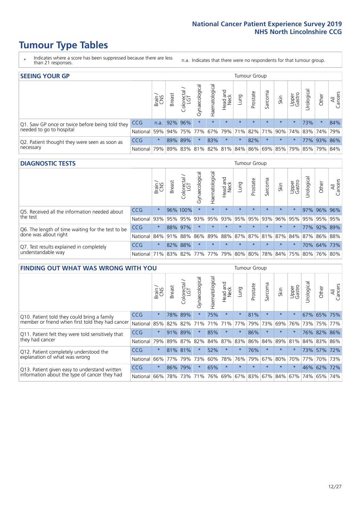- \* Indicates where a score has been suppressed because there are less than 21 responses.
- n.a. Indicates that there were no respondents for that tumour group.

| <b>SEEING YOUR GP</b>                           |                          |         |               |                   |                |                |                  |                       | Tumour Group |         |         |                 |                                                     |             |                |
|-------------------------------------------------|--------------------------|---------|---------------|-------------------|----------------|----------------|------------------|-----------------------|--------------|---------|---------|-----------------|-----------------------------------------------------|-------------|----------------|
|                                                 |                          | Brain   | <b>Breast</b> | Colorectal<br>LGT | Gynaecological | Haematological | Head and<br>Neck | Lung                  | Prostate     | Sarcoma | Skin    | Upper<br>Gastro | Urological                                          | Other       | All<br>Cancers |
| Q1. Saw GP once or twice before being told they | <b>CCG</b>               |         | n.a. 92% 96%  |                   | $\star$        | $\star$        | $\star$          | $\star$               | $\star$      | $\star$ | $\star$ | $\star$         | 73%                                                 | $\star$     | 84%            |
| needed to go to hospital                        | National 59% 94% 75% 77% |         |               |                   |                |                |                  | 67%   79%   71%   82% |              |         |         |                 | 71% 90% 74% 83% 74% 79%                             |             |                |
| Q2. Patient thought they were seen as soon as   | <b>CCG</b>               | $\star$ |               | 89% 89%           |                | 83%            | $\star$          | $\star$               | 82%          | $\star$ | $\star$ |                 |                                                     | 77% 93% 86% |                |
| necessary                                       | National                 | 79%     |               |                   |                |                |                  |                       |              |         |         |                 | 89% 83% 81% 82% 81% 84% 86% 69% 85% 79% 85% 79% 84% |             |                |

#### **DIAGNOSTIC TESTS** Tumour Group

|                                                   |                                                                  | Brain   | <b>Breast</b> | olorectal.<br>LGT<br>Ü | Gynaecological | Haematological | Head and<br>Neck | Lung    | Prostate | Sarcoma | Skin    | Upper<br>Gastro | Irological                                  | Other | All<br>Cancers |
|---------------------------------------------------|------------------------------------------------------------------|---------|---------------|------------------------|----------------|----------------|------------------|---------|----------|---------|---------|-----------------|---------------------------------------------|-------|----------------|
| Q5. Received all the information needed about     | <b>CCG</b>                                                       | $\star$ |               | 96% 100%               |                | $\star$        | $\star$          | $\star$ | $\star$  | $\star$ | $\star$ | $\star$         |                                             |       | 97% 96% 96%    |
| the test                                          | National                                                         | 93%     | 95%           | 95%                    | 93%            |                | 95% 93% 95%      |         | 95%      | 93%     | 96%     | 95%             | 95%                                         |       | 95% 95%        |
| Q6. The length of time waiting for the test to be | <b>CCG</b>                                                       | $\star$ |               | 88% 97%                | $\star$        |                | $\star$          | $\star$ | $\star$  | $\star$ | $\star$ | $\star$         |                                             |       | 77% 92% 89%    |
| done was about right                              | National 84% 91%                                                 |         |               | 88%                    |                |                |                  |         |          |         |         |                 | 86% 89% 88% 87% 87% 81% 87% 84% 87% 86% 88% |       |                |
| Q7. Test results explained in completely          | <b>CCG</b>                                                       | $\star$ |               | 82% 88%                | $\star$        | $\star$        | $\star$          | $\star$ | $\star$  | $\star$ | $\star$ | $\star$         |                                             |       | 70% 64% 73%    |
| understandable way                                | National 71% 83% 82% 77% 77% 79% 80% 80% 78% 84% 75% 80% 76% 80% |         |               |                        |                |                |                  |         |          |         |         |                 |                                             |       |                |

| <b>FINDING OUT WHAT WAS WRONG WITH YOU</b>        |            |              |               |            |                |                |                  |             | <b>Tumour Group</b>     |         |         |                 |           |             |                |
|---------------------------------------------------|------------|--------------|---------------|------------|----------------|----------------|------------------|-------------|-------------------------|---------|---------|-----------------|-----------|-------------|----------------|
|                                                   |            | Brain<br>CNS | <b>Breast</b> | Colorectal | Gynaecological | Haematological | Head and<br>Neck | Lung        | Prostate                | Sarcoma | Skin    | Upper<br>Gastro | Jrologica | Other       | All<br>Cancers |
| Q10. Patient told they could bring a family       | <b>CCG</b> | $\star$      | 78%           | 89%        |                | 75%            | $\star$          | $\star$     | 81%                     | $\star$ | $\star$ | $\star$         |           | 67% 65%     | 75%            |
| member or friend when first told they had cancer  | National   | 85%          | 82%           | 82%        | 71%            | 71%            | 71%              | 77%         | 79%                     | 73%     | 69%     | 76%             | 73%       | 75% 77%     |                |
| Q11. Patient felt they were told sensitively that | <b>CCG</b> | $\star$      | 91%           | 89%        | $\star$        | 85%            | $\star$          | $\star$     | 86%                     | $\star$ | $\star$ | $\star$         |           | 76% 82% 86% |                |
| they had cancer                                   | National   | 79%          | 89%           | 87%        | 82%            |                |                  | 84% 87% 83% | 86%                     | 84%     | 89%     | 81%             |           | 84% 83% 86% |                |
| Q12. Patient completely understood the            | <b>CCG</b> | $\star$      | 81% 81%       |            | $\star$        | 52%            | $\star$          | $\star$     | 76%                     | $\star$ | $\star$ | $\star$         |           | 73% 57% 72% |                |
| explanation of what was wrong                     | National   | 66%          | 77%           | 79%        | 73%            | 60%            | 78%              | 76%         | 79%                     | 67%     | 80%     | 70%             | 77%       | 70%         | 73%            |
| Q13. Patient given easy to understand written     | <b>CCG</b> | $\star$      | 86%           | 179%       |                | 65%            | $\star$          | $\star$     | $\star$                 | $\star$ | $\star$ | $\star$         |           | 46% 62% 72% |                |
| information about the type of cancer they had     | National   | 66%          | 78%           | 73%        |                |                |                  |             | 71% 76% 69% 67% 83% 67% |         | 84%     |                 | 67% 74%   | 65%         | 74%            |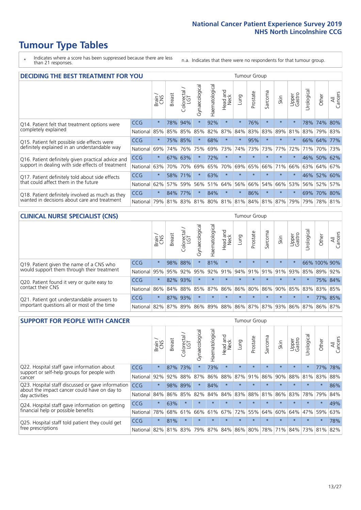\* Indicates where a score has been suppressed because there are less than 21 responses.

n.a. Indicates that there were no respondents for that tumour group.

| <b>DECIDING THE BEST TREATMENT FOR YOU</b>         |            |         |               |                        |                |                |                        |         | Tumour Group |                         |         |                 |            |             |                |
|----------------------------------------------------|------------|---------|---------------|------------------------|----------------|----------------|------------------------|---------|--------------|-------------------------|---------|-----------------|------------|-------------|----------------|
|                                                    |            | Brain   | <b>Breast</b> | olorectal.<br>LGT<br>Ū | Gynaecological | Haematological | ad and<br>Neck<br>Head | Lung    | Prostate     | Sarcoma                 | Skin    | Upper<br>Gastro | Jrological | Other       | All<br>Cancers |
| Q14. Patient felt that treatment options were      | <b>CCG</b> | $\star$ | 78%           | 94%                    | $\star$        | 92%            | $\star$                | $\star$ | 76%          | $\star$                 |         | $\star$         |            | 78% 74%     | 80%            |
| completely explained                               | National   | 85%     | 85%           | 85%                    | 85%            | 82%            | 87%                    | 84%     | 83%          | 83%                     | 89%     | 81%             |            | 83% 79% 83% |                |
| Q15. Patient felt possible side effects were       | <b>CCG</b> | $\star$ | 75%           | 85%                    | $\star$        | 68%            | $\star$                | $\star$ | 95%          | $\star$                 | $\star$ | $\star$         |            | 66% 64%     | 77%            |
| definitely explained in an understandable way      | National   | 69%     | 74%           | 76%                    | 75%            | 69%            | 73%                    | 74%     | 73%          | 73%                     | 77%     | 72%             | 71%        | 70%         | 73%            |
| Q16. Patient definitely given practical advice and | CCG        | $\star$ | 67%           | 63%                    |                | 72%            | $\star$                | $\star$ | $\star$      | $\star$                 | $\star$ | $\star$         |            | 46% 50%     | 62%            |
| support in dealing with side effects of treatment  | National   | 63%     | 70%           | 70%                    | 69%            | 65%            | 70%                    | 69%     | 65%          | 66%                     | 71%     | 66%             | 63%        | 64%         | 67%            |
| Q17. Patient definitely told about side effects    | CCG        | $\star$ |               | 58% 71%                | $\star$        | 63%            | $\star$                | $\star$ | $\star$      | $\star$                 | $\star$ | $\star$         |            | 46% 52%     | 60%            |
| that could affect them in the future               | National   | 62%     | 57%           | 59%                    | 56%            | 51%            | 64%                    | 56%     | 66%          | 54%                     | 66%     | 53%             |            | 56% 52%     | 57%            |
| Q18. Patient definitely involved as much as they   | CCG        | $\star$ | 84%           | 77%                    | $\star$        | 84%            | $\star$                | $\star$ | 86%          | $\star$                 | $\star$ | $\star$         |            | 69% 70% 80% |                |
| wanted in decisions about care and treatment       | National   | 79%     |               | 81% 83% 81%            |                |                |                        |         |              | 80% 81% 81% 84% 81% 87% |         | 79%             |            | 79% 78% 81% |                |

#### **CLINICAL NURSE SPECIALIST (CNS)** Tumour Group

|                                             |          | Brain                                   | <b>Breast</b>   | Colorectal<br>LGT | $\overline{\sigma}$<br>aecologic<br>Š | ক<br>Ű<br>Haematologi | Head and<br>Neck | Lung    | Prostate | Sarcoma | Skin    | Upper<br>Gastro                 | $\sigma$<br>rologica | Other        | All<br>Cancers |
|---------------------------------------------|----------|-----------------------------------------|-----------------|-------------------|---------------------------------------|-----------------------|------------------|---------|----------|---------|---------|---------------------------------|----------------------|--------------|----------------|
| Q19. Patient given the name of a CNS who    | CCG      | $\star$                                 |                 | 98% 88%           |                                       | 81%                   | $\star$          | $\star$ | $\star$  | $\star$ | $\star$ | $\star$                         |                      | 66% 100% 90% |                |
| would support them through their treatment  | National | 95%                                     | $ 95\% $        | 92%               | 95%                                   | 92%                   | 91%              | 94% 91% |          |         |         | 91% 91% 93%                     | 85%                  | 89%          | 92%            |
| Q20. Patient found it very or quite easy to | CCG      | $\star$                                 |                 | 82% 93%           | $\star$                               | $\star$               | $\star$          | $\star$ | $\star$  | $\star$ | $\star$ | $\star$                         |                      |              | 75% 84%        |
| contact their CNS                           | National |                                         | 86% 84% 88% 85% |                   |                                       |                       |                  |         |          |         |         | 87% 86% 86% 80% 86% 90% 85% 83% |                      | 83%          | 85%            |
| Q21. Patient got understandable answers to  | CCG      | $\star$                                 |                 | 87% 93%           | $\star$                               | $\star$               | $\star$          | $\star$ | $\star$  | $\star$ | $\star$ | $\star$                         |                      |              | 77% 85%        |
| important questions all or most of the time | National | 82% 87% 89% 86% 89% 88% 86% 87% 87% 93% |                 |                   |                                       |                       |                  |         |          |         |         | 86% 87%                         |                      | 86%          | 87%            |

| <b>SUPPORT FOR PEOPLE WITH CANCER</b>                                                             |            |         |               |                        |                |                |                        |             | Tumour Group |         |         |                 |           |         |                |
|---------------------------------------------------------------------------------------------------|------------|---------|---------------|------------------------|----------------|----------------|------------------------|-------------|--------------|---------|---------|-----------------|-----------|---------|----------------|
|                                                                                                   |            | Brain   | <b>Breast</b> | olorectal.<br>LGT<br>Ũ | Gynaecological | Haematological | ad and<br>Neck<br>Head | Lung        | Prostate     | Sarcoma | Skin    | Upper<br>Gastro | Jrologica | Other   | All<br>Cancers |
| Q22. Hospital staff gave information about<br>support or self-help groups for people with         | <b>CCG</b> | $\star$ | 87%           | 73%                    | $\star$        | 73%            | $\star$                | $\star$     | $\star$      | $\star$ | $\star$ | $\star$         | $^\star$  | 77%     | 78%            |
| cancer                                                                                            | National   | 92%     | 92%           | 88%                    | 87%            | 86%            | 88%                    | 87%         | 91%          | 86%     | 90%     | 88%             | 81%       | 83%     | 88%            |
| Q23. Hospital staff discussed or gave information<br>about the impact cancer could have on day to | CCG        | $\star$ | 98%           | 89%                    | $\star$        | 84%            | $\star$                | $\star$     | $\star$      | $\star$ | $\star$ | $\star$         | $\star$   | $\star$ | 86%            |
| day activities                                                                                    | National   | 84%     | 86%           | 85%                    | 82%            | 84%            | 84%                    | 83%         | 88%          | 81%     | 86%     | 83%             | 78%       | 79%     | 84%            |
| Q24. Hospital staff gave information on getting                                                   | CCG        | $\star$ | 63%           | $\star$                | $\star$        | $\star$        | $\star$                | $\star$     | $\star$      | $\star$ | $\star$ | $\star$         | $\star$   | $\star$ | 49%            |
| financial help or possible benefits                                                               | National   | 78%     | 68%           | 61%                    | 66%            | 61%            | 67%                    | 72%         | 55%          | 64%     | 60%     | 64%             | 47%       | 59%     | 63%            |
| Q25. Hospital staff told patient they could get                                                   | <b>CCG</b> | $\star$ | 81%           | $\star$                | $\star$        | $\star$        | $\star$                | $\star$     | $\star$      | $\star$ | $\star$ | $\star$         | $\star$   | $\ast$  | 78%            |
| free prescriptions                                                                                | National I | 82%     |               | 81% 83%                | 79%            | 87%            |                        | 84% 86% 80% |              | 78%     | 71%     | $84\%$          |           | 73% 81% | 82%            |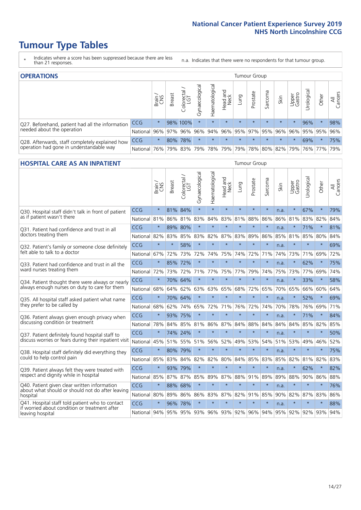- \* Indicates where a score has been suppressed because there are less than 21 responses.
- n.a. Indicates that there were no respondents for that tumour group.

| <b>OPERATIONS</b>                                |            |              |               |                   |                   |                |                     |         | Tumour Group |         |         |                 |                                     |         |                |
|--------------------------------------------------|------------|--------------|---------------|-------------------|-------------------|----------------|---------------------|---------|--------------|---------|---------|-----------------|-------------------------------------|---------|----------------|
|                                                  |            | Brain<br>CNS | <b>Breast</b> | Colorectal<br>LGT | ত<br>Gynaecologic | Haematological | Head and<br>Neck    | Lung    | Prostate     | Sarcoma | Skin    | Upper<br>Gastro | Jrological                          | Other   | All<br>Cancers |
| Q27. Beforehand, patient had all the information | CCG        | $\star$      |               | 98% 100%          | $\star$           | $\star$        | $\star$             | $\star$ | $\star$      | $\star$ | $\star$ | $\star$         | 96%                                 | $\star$ | 98%            |
| needed about the operation                       | National   | 96%          |               | 97% 96%           | 96%               | 94%            | 96% 95% 97% 95% 96% |         |              |         |         | 96%             |                                     | 95% 95% | 96%            |
| Q28. Afterwards, staff completely explained how  | <b>CCG</b> | $\star$      |               | 80% 78%           | $\star$           | $\star$        | $\star$             | $\star$ | $\star$      | $\star$ | $\star$ | $\star$         | 69%                                 | $\ast$  | 75%            |
| operation had gone in understandable way         | National   | 76%          |               | 79% 83%           | 79%               |                |                     |         |              |         |         |                 | 78% 79% 79% 78% 80% 82% 79% 76% 77% |         | 79%            |

#### **HOSPITAL CARE AS AN INPATIENT** Tumour Group

|                                                                                                  |            | Brain   | Breast  | Colorectal /<br>LGT | Gynaecological | Haematological          | Head and<br>Neck | Lung    | Prostate | Sarcoma | Skin | Upper<br>Gastro | Urological  | Other   | All<br>Cancers |
|--------------------------------------------------------------------------------------------------|------------|---------|---------|---------------------|----------------|-------------------------|------------------|---------|----------|---------|------|-----------------|-------------|---------|----------------|
| Q30. Hospital staff didn't talk in front of patient                                              | CCG        | $\star$ | 81%     | 84%                 | $\star$        | $\star$                 | $\star$          | $\star$ | $\star$  | $\star$ | n.a. | $\star$         | 67%         | $\star$ | 79%            |
| as if patient wasn't there                                                                       | National   | 81%     | 86%     | 81%                 | 83%            | 84%                     | 83%              | 81%     | 88%      | 86%     | 86%  | 81%             | 83%         | 82%     | 84%            |
| Q31. Patient had confidence and trust in all                                                     | CCG        | $\star$ | 89%     | 80%                 | $\star$        | $\star$                 | $\star$          | $\star$ | $\star$  | $\star$ | n.a. |                 | 71%         | $\star$ | 81%            |
| doctors treating them                                                                            | National   | 82%     | 83%     | 85%                 | 83%            | 82%                     |                  | 87% 83% | 89%      | 86%     |      | 85% 81%         | 85%         | 80%     | 84%            |
| Q32. Patient's family or someone close definitely                                                | CCG        | $\star$ | $\star$ | 58%                 | $\star$        | $\star$                 | $\star$          | $\star$ | $\star$  | $\star$ | n.a. |                 | $\star$     | $\star$ | 69%            |
| felt able to talk to a doctor                                                                    | National   | 67%     | 72%     | 73%                 | 72%            | 74%                     | 75%              | 74%     | 72%      | 71%     | 74%  | 73%             | 71%         | 69%     | 72%            |
| O33. Patient had confidence and trust in all the                                                 | CCG        | $\star$ | 85%     | 72%                 | $\star$        | $\star$                 | $\star$          | $\star$ | $\star$  | $\star$ | n.a. | $\star$         | 62%         | $\star$ | 75%            |
| ward nurses treating them                                                                        | National   | 72%     | 73%     | 72%                 | 71%            | 77%                     | 75%              | 77%     | 79%      | 74%     | 75%  | 73%             | 77%         | 69%     | 74%            |
| Q34. Patient thought there were always or nearly                                                 | CCG        | $\star$ | 70%     | 64%                 | $\star$        | $\star$                 | $\star$          | $\star$ | $\star$  | $\star$ | n.a. | $\star$         | 33%         | $\star$ | 58%            |
| always enough nurses on duty to care for them                                                    | National   | 68%     | 64%     | 62%                 | 63%            | 63%                     | 65%              | 68%     | 72%      | 65%     | 70%  | 65%             | 66%         | 60%     | 64%            |
| Q35. All hospital staff asked patient what name                                                  | CCG        | $\star$ |         | 70% 64%             | $\star$        | $\star$                 | $\star$          | $\star$ | $\star$  | $\star$ | n.a. |                 | 52%         | $\star$ | 69%            |
| they prefer to be called by                                                                      | National   | 68%     | 62%     | 74%                 | 65%            | 72%                     | 71%              | 76%     | 72%      | 74%     | 70%  | 78%             | 76%         | 69%     | 71%            |
| Q36. Patient always given enough privacy when                                                    | CCG        | $\star$ | 93%     | 75%                 | $\star$        | $\star$                 | $\star$          | $\star$ | $\star$  | $\star$ | n.a. |                 | 71%         | $\star$ | 84%            |
| discussing condition or treatment                                                                | National   | 78%     |         | 84% 85%             | 81%            | 86%                     |                  | 87% 84% | 88%      | 84%     | 84%  | 84%             | 85%         | 82%     | 85%            |
| Q37. Patient definitely found hospital staff to                                                  | <b>CCG</b> | $\star$ |         | 74% 24%             | $\star$        | $\star$                 | $\star$          | $\star$ | $\star$  | $\star$ | n.a. |                 | $\star$     | $\star$ | 50%            |
| discuss worries or fears during their inpatient visit                                            | National   | 45%     |         | 51% 55%             | 51%            | 56%                     | 52%              | 49%     | 53%      | 54%     | 51%  | 53%             | 49%         | 46%     | 52%            |
| Q38. Hospital staff definitely did everything they                                               | CCG        | $\star$ | 80% 79% |                     | $\star$        | $\star$                 | $\star$          | $\star$ | $\star$  | $\star$ | n.a. | $\star$         | $\star$     | $\star$ | 75%            |
| could to help control pain                                                                       | National   | 85%     | 83%     | 84%                 | 82%            | 82%                     | 80%              | 84%     | 85%      | 83%     | 85%  | 82%             | 81%         | 82%     | 83%            |
| Q39. Patient always felt they were treated with                                                  | CCG        | $\star$ | 93% 79% |                     | $\star$        | $\star$                 | $\star$          | $\star$ | $\star$  | $\star$ | n.a. |                 | 62%         | $\star$ | 82%            |
| respect and dignity while in hospital                                                            | National   | 85%     | 87%     | 87%                 | 85%            | 89%                     | 87%              | 88%     | 91%      | 89%     | 89%  | 88%             | 90%         | 86%     | 88%            |
| Q40. Patient given clear written information<br>about what should or should not do after leaving | CCG        | $\star$ | 88%     | 68%                 | $\star$        | $\star$                 | $\star$          | $\star$ | $\star$  | $\star$ | n.a. | $\star$         | $\star$     | $\star$ | 76%            |
| hospital                                                                                         | National   | 80%     | 89%     | 86%                 | 86%            | 83%                     |                  | 87% 82% | 91%      | 85%     | 90%  | 82%             | 87%         | 83%     | 86%            |
| Q41. Hospital staff told patient who to contact<br>if worried about condition or treatment after | CCG        | $\star$ | 96%     | 78%                 | $\star$        | $\star$                 | $\star$          | $\star$ | $\star$  | $\star$ | n.a. | $\star$         | $\star$     | $\star$ | 88%            |
| leaving hospital                                                                                 | National   | 94%     |         |                     |                | 95% 95% 93% 96% 93% 92% |                  |         |          | 96% 94% |      |                 | 95% 92% 92% | 93%     | 94%            |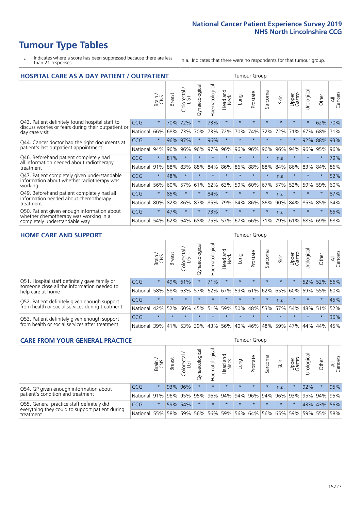- \* Indicates where a score has been suppressed because there are less than 21 responses.
- n.a. Indicates that there were no respondents for that tumour group.

| <b>HOSPITAL CARE AS A DAY PATIENT / OUTPATIENT</b>                                                                    |            | <b>Tumour Group</b> |               |                       |                |                |                         |         |          |         |         |                 |            |         |                |
|-----------------------------------------------------------------------------------------------------------------------|------------|---------------------|---------------|-----------------------|----------------|----------------|-------------------------|---------|----------|---------|---------|-----------------|------------|---------|----------------|
|                                                                                                                       |            | Brain               | <b>Breast</b> | olorectal<br>LGT<br>Ū | Gynaecological | Haematological | ead and<br>Neck<br>Head | Lung    | Prostate | Sarcoma | Skin    | Upper<br>Gastro | Urological | Other   | All<br>Cancers |
| Q43. Patient definitely found hospital staff to                                                                       | CCG        | $\star$             | 70%           | 72%                   | $\star$        | 73%            | $\star$                 | $\star$ | $\star$  | $\star$ | $\star$ | $\star$         | $\star$    | 62%     | 70%            |
| discuss worries or fears during their outpatient or<br>day case visit                                                 | National   | 66%                 | 68%           | 73%                   | 70%            | 73%            | 72%                     | 70%     | 74%      | 72%     | 72%     | 71%             | 67%        | 68%     | 71%            |
| Q44. Cancer doctor had the right documents at<br>patient's last outpatient appointment                                | <b>CCG</b> | $\star$             | $96\%$        | 97%                   | $\star$        | 96%            | $\star$                 | $\star$ | $\star$  | $\star$ |         | $\star$         | 92%        | 88%     | 93%            |
|                                                                                                                       | National   | 94%                 | 96%           | 96%                   | 96%            | 97%            | 96%                     | 96%     | 96%      | 96%     | 96%     | 94%             | 96%        | 95%     | 96%            |
| Q46. Beforehand patient completely had                                                                                | CCG        | $\star$             | 81%           | $\star$               |                |                | $\star$                 | $\star$ | $\star$  | $\star$ | n.a.    | $\star$         | $\star$    | $\star$ | 79%            |
| all information needed about radiotherapy<br>treatment                                                                | National   | 91%                 | 88%           | 83%                   | 88%            | 84%            | 86%                     | 86%     | 88%      | 88%     | 84%     | 86%             | 83%        | 84%     | 86%            |
| Q47. Patient completely given understandable                                                                          | CCG        | $\star$             | 48%           | $\star$               |                |                | $\star$                 | $\star$ | $\star$  | $\star$ | n.a.    | $\star$         | ÷          | $\ast$  | 52%            |
| information about whether radiotherapy was<br>working                                                                 | National   | 56%                 | 60%           | 57%                   | 61%            | 62%            | 63%                     | 59%     | 60%      | 67%     | 57%     | 52%             | 59%        | 59%     | 60%            |
| Q49. Beforehand patient completely had all                                                                            | CCG        | $\star$             | 85%           | $\star$               | $\star$        | 84%            | $\star$                 | $\star$ | $\star$  | $\star$ | n.a.    | $\star$         | ¥          | $\ast$  | 87%            |
| information needed about chemotherapy<br>treatment                                                                    | National   | 80%                 | 82%           | 86%                   | 87%            | 85%            | 79%                     | 84%     | 86%      | 86%     | 90%     | 84%             | 85%        | 85%     | 84%            |
| Q50. Patient given enough information about<br>whether chemotherapy was working in a<br>completely understandable way | CCG        | $\star$             | 47%           | $\star$               | $\star$        | 73%            | $\star$                 | $\star$ | $\star$  | $\star$ | n.a.    | $\star$         |            | $\star$ | 65%            |
|                                                                                                                       | National   | 54%                 | 62%           | 64%                   | 68%            | 75%            |                         | 57% 67% | 66%      | 71%     | 79%     | 61%             | 68%        | 69%     | 68%            |

#### **HOME CARE AND SUPPORT** Tumour Group

|                                                                                                                   |            | Brain   | Breast  | Colorectal<br>LGT | $\sigma$<br>Gynaecologic | Haematological | Head and<br>Neck | Dung            | Prostate | Sarcoma | Skin    | Upper<br>Gastro | rological   | Other   | All<br>Cancers |
|-------------------------------------------------------------------------------------------------------------------|------------|---------|---------|-------------------|--------------------------|----------------|------------------|-----------------|----------|---------|---------|-----------------|-------------|---------|----------------|
| Q51. Hospital staff definitely gave family or<br>someone close all the information needed to<br>help care at home | <b>CCG</b> | $\star$ |         | 49% 61%           |                          | 71%            | $\star$          | $\star$         | $\star$  | $\star$ | $\star$ | $\star$         |             | 52% 52% | 56%            |
|                                                                                                                   | National   | 58%     | 58%     | 63%               | 57%                      |                |                  | 62% 67% 59% 61% |          |         | 62% 65% | 60%             |             | 59% 55% | 60%            |
| Q52. Patient definitely given enough support<br>from health or social services during treatment                   | <b>CCG</b> | $\star$ |         |                   |                          |                | $\star$          | $\star$         | $\star$  | $\star$ | n.a.    | $\star$         | $\star$     | $\star$ | 45%            |
|                                                                                                                   | National   | 42%     | 52%     | 60%               |                          | 45% 51%        | 59%              | 50%             | 48%      |         | 53% 57% |                 | 54% 48% 51% |         | 52%            |
| Q53. Patient definitely given enough support<br>from health or social services after treatment                    | <b>CCG</b> | $\star$ |         |                   |                          |                | $\star$          | $\star$         | $\star$  |         | $\star$ | $\star$         | $\star$     | $\star$ | 36%            |
|                                                                                                                   | National l | 39%     | 41% 53% |                   | 39%                      | $ 43\% $       | 56%              | 40%             | 46%      |         | 48% 59% | 47%             | 44%         | 44%     | 45%            |

| <b>CARE FROM YOUR GENERAL PRACTICE</b>                                                                     |              |         |               |                   |                |                |                  |         |          | Tumour Group |                             |                 |            |             |                |  |  |
|------------------------------------------------------------------------------------------------------------|--------------|---------|---------------|-------------------|----------------|----------------|------------------|---------|----------|--------------|-----------------------------|-----------------|------------|-------------|----------------|--|--|
|                                                                                                            |              | Brain   | <b>Breast</b> | Colorectal<br>LGT | Gynaecological | Haematological | Head and<br>Neck | Lung    | Prostate | Sarcoma      | Skin                        | Upper<br>Gastro | Urological | Other       | All<br>Cancers |  |  |
| Q54. GP given enough information about<br>patient's condition and treatment                                | <b>CCG</b>   | $\star$ |               | 93% 96%           | $\star$        | $\star$        | $\star$          | $\star$ | $\star$  | $\star$      | n.a.                        | $\star$         | 92%        | $\star$     | 95%            |  |  |
|                                                                                                            | National 91% |         |               | 96% 95%           | 95%            |                |                  |         |          |              | 96% 94% 94% 96% 94% 96% 93% |                 |            | 95% 94% 95% |                |  |  |
| Q55. General practice staff definitely did<br>everything they could to support patient during<br>treatment | <b>CCG</b>   | $\star$ |               | 59% 54%           | $\star$        | $\star$        | $\star$          | $\star$ | $\star$  | $\star$      | $\star$                     | $\star$         |            | 43% 43%     | 56%            |  |  |
|                                                                                                            | National     | 55%     |               | 58% 59%           | 56%            |                | 56% 59%          |         | 56% 64%  |              | 56% 65%                     | 59%             |            | 59% 55%     | 58%            |  |  |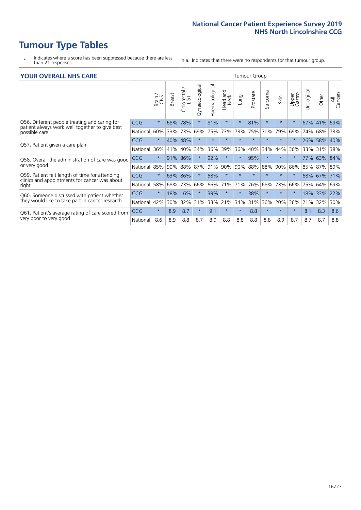- \* Indicates where a score has been suppressed because there are less than 21 responses.
- n.a. Indicates that there were no respondents for that tumour group.

#### **YOUR OVERALL NHS CARE** THE CONSTRUCTION OF THE THROUP GROUP TUMOUR GROUP

| UN V V LIVALL IVI 19 GAINL |              |               |                     |                          |                |                                |          |          |                      |         |                 |               |       |                       |  |  |  |  |  |
|----------------------------|--------------|---------------|---------------------|--------------------------|----------------|--------------------------------|----------|----------|----------------------|---------|-----------------|---------------|-------|-----------------------|--|--|--|--|--|
|                            | Brain<br>CNS | <b>Breast</b> | Colorectal /<br>LGT | Gynaecological           | Haematological | <b>Bad and</b><br>Neck<br>Head | Lung     | Prostate | arcoma<br>$\sqrt{ }$ | Skin    | Upper<br>Gastro | ල<br>Urologia | Other | All<br>Cancers        |  |  |  |  |  |
| <b>CCG</b>                 | $\star$      | 68%           | 78%                 | $\star$                  | 81%            | $\star$                        | $\star$  | 81%      | $\star$              | $\star$ | $\star$         | 67%           |       | 69%                   |  |  |  |  |  |
| National                   | 60%          | 73%           | 73%                 | 69%                      | 75%            | 73%                            | 73%      | 75%      | 70%                  | 79%     | 69%             | 74%           | 68%   | 73%                   |  |  |  |  |  |
| <b>CCG</b>                 | $\star$      |               |                     | $\star$                  | $\star$        | $\star$                        | $\star$  | $\star$  | $\star$              | $\star$ | $\star$         | 26%           | 58%   | 40%                   |  |  |  |  |  |
| National                   | 36%          | 41%           | 40%                 | 34%                      | 36%            | 39%                            | 36%      | 40%      | 34%                  | 44%     | 36%             | 33%           | 31%   | 38%                   |  |  |  |  |  |
| <b>CCG</b>                 | $\star$      | 91%           | 86%                 |                          | 92%            | $\ast$                         | $^\star$ | 95%      | $\star$              | $\star$ |                 | 77%           | 63%   | 84%                   |  |  |  |  |  |
| National                   | 85%          | 90%           | 88%                 | 87%                      | 91%            | 90%                            | 90%      | 88%      | 88%                  | 90%     | 86%             |               |       | 89%                   |  |  |  |  |  |
| <b>CCG</b>                 | $\star$      |               |                     | $\star$                  | 58%            | $\star$                        | $\star$  | $\star$  | $\star$              | $\star$ | $\star$         |               |       | 71%                   |  |  |  |  |  |
| National                   | 58%          | 68%           | 73%                 | 66%                      | 66%            | 71%                            | 71%      | 76%      | 68%                  | 73%     | 66%             | 75%           | 64%   | 69%                   |  |  |  |  |  |
| <b>CCG</b>                 | $\star$      | 18%           | 16%                 |                          | 39%            | $\star$                        | $\star$  | 38%      | $\star$              | $\star$ | $\star$         | 18%           | 33%   | 22%                   |  |  |  |  |  |
| National                   | 42%          | 30%           | 32%                 | 31%                      | 33%            | 21%                            | 34%      | 31%      | 36%                  | 20%     | 36%             | 21%           | 32%   | 30%                   |  |  |  |  |  |
| <b>CCG</b>                 | $\star$      | 8.9           | 8.7                 | $\star$                  | 9.1            | $\star$                        | $\star$  | 8.8      | $\star$              | $\star$ | $\star$         | 8.1           | 8.3   | 8.6                   |  |  |  |  |  |
| National                   | 8.6          | 8.9           | 8.8                 | 8.7                      | 8.9            | 8.8                            | 8.8      | 8.8      | 8.8                  | 8.9     | 8.7             | 8.7           | 8.7   | 8.8                   |  |  |  |  |  |
|                            |              |               |                     | 40%<br>48%<br>86%<br>63% |                |                                |          |          |                      |         |                 |               | 85%   | 41%<br>87%<br>68% 67% |  |  |  |  |  |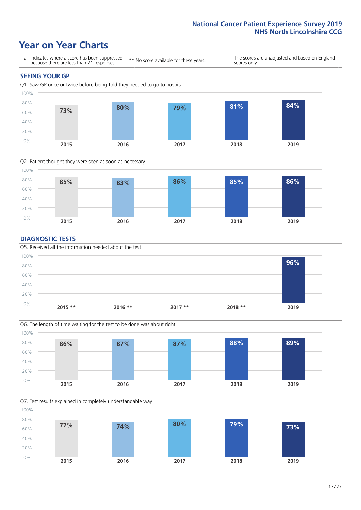### **Year on Year Charts**





#### **DIAGNOSTIC TESTS**





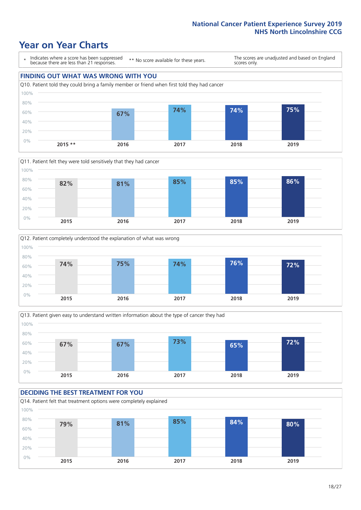







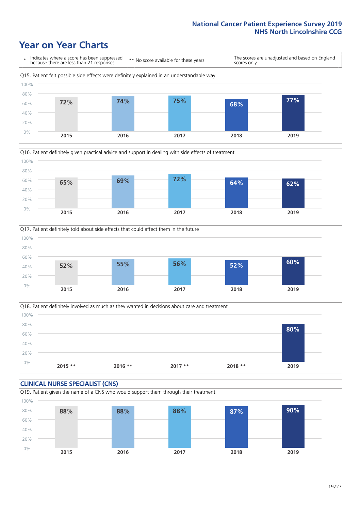





Q18. Patient definitely involved as much as they wanted in decisions about care and treatment  $0%$ 20% 40% 60% 80% 100% **2015 \*\* 2016 \*\* 2017 \*\* 2018 \*\* 2019 80%**

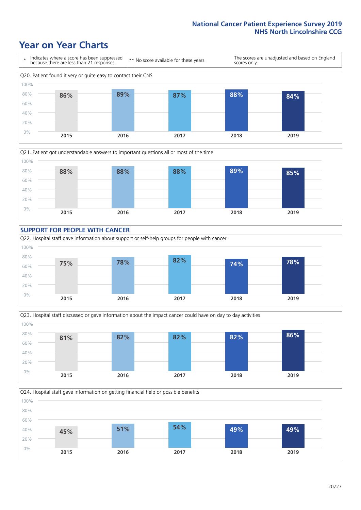









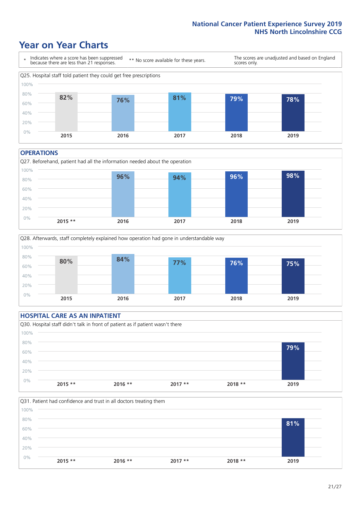### **Year on Year Charts**



#### **OPERATIONS**





#### **HOSPITAL CARE AS AN INPATIENT** Q30. Hospital staff didn't talk in front of patient as if patient wasn't there 0% 20% 40% 60% 80% 100% **2015 \*\* 2016 \*\* 2017 \*\* 2018 \*\* 2019 79%**

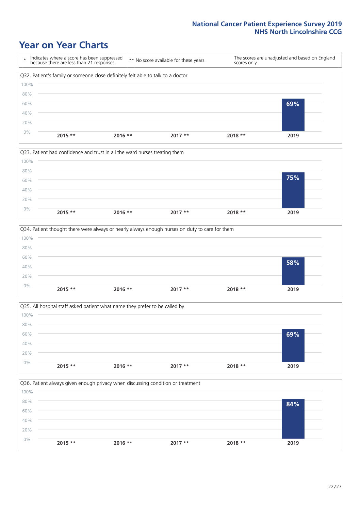







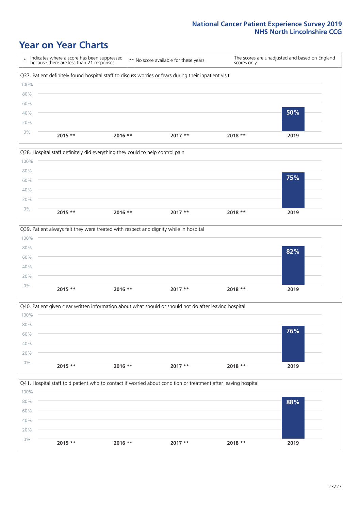







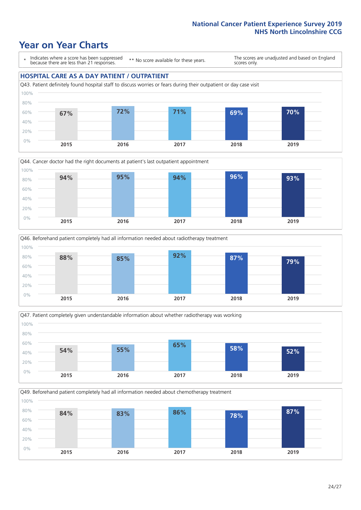### **Year on Year Charts**

\* Indicates where a score has been suppressed because there are less than 21 responses.

\*\* No score available for these years.

The scores are unadjusted and based on England scores only.

#### **HOSPITAL CARE AS A DAY PATIENT / OUTPATIENT**









Q49. Beforehand patient completely had all information needed about chemotherapy treatment

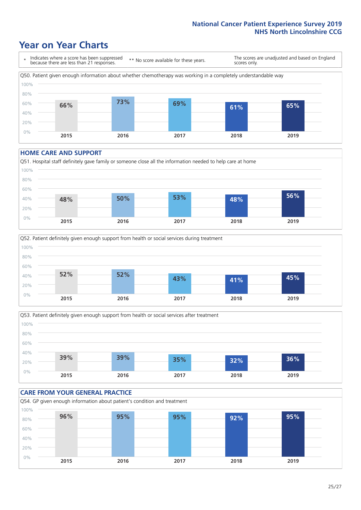### **Year on Year Charts**

\* Indicates where a score has been suppressed because there are less than 21 responses. \*\* No score available for these years. The scores are unadjusted and based on England scores only. Q50. Patient given enough information about whether chemotherapy was working in a completely understandable way 0% 20% 40% 60% 80% 100% **2015 2016 2017 2018 2019 66% 73% 69% 61% 65%**

#### **HOME CARE AND SUPPORT**







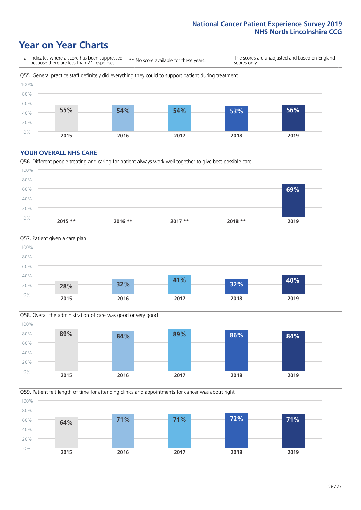### **Year on Year Charts**

\* Indicates where a score has been suppressed because there are less than 21 responses.

\*\* No score available for these years.

The scores are unadjusted and based on England scores only.



#### **YOUR OVERALL NHS CARE**







Q59. Patient felt length of time for attending clinics and appointments for cancer was about right